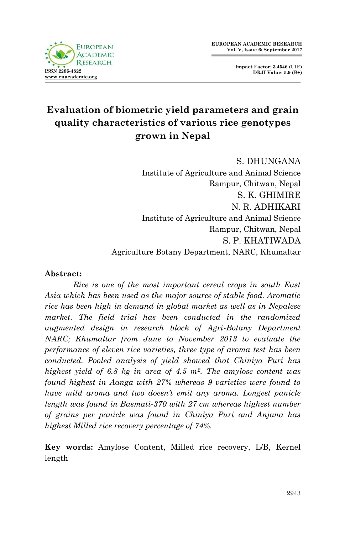



# **Evaluation of biometric yield parameters and grain quality characteristics of various rice genotypes grown in Nepal**

S. DHUNGANA Institute of Agriculture and Animal Science Rampur, Chitwan, Nepal S. K. GHIMIRE N. R. ADHIKARI Institute of Agriculture and Animal Science Rampur, Chitwan, Nepal S. P. KHATIWADA Agriculture Botany Department, NARC, Khumaltar

#### **Abstract:**

*Rice is one of the most important cereal crops in south East Asia which has been used as the major source of stable food. Aromatic rice has been high in demand in global market as well as in Nepalese*  market. The field trial has been conducted in the randomized *augmented design in research block of Agri-Botany Department NARC; Khumaltar from June to November 2013 to evaluate the performance of eleven rice varieties, three type of aroma test has been conducted. Pooled analysis of yield showed that Chiniya Puri has highest yield of 6.8 kg in area of 4.5 m2. The amylose content was found highest in Aanga with 27% whereas 9 varieties were found to have mild aroma and two doesn't emit any aroma. Longest panicle length was found in Basmati-370 with 27 cm whereas highest number of grains per panicle was found in Chiniya Puri and Anjana has highest Milled rice recovery percentage of 74%.* 

**Key words:** Amylose Content, Milled rice recovery, L/B, Kernel length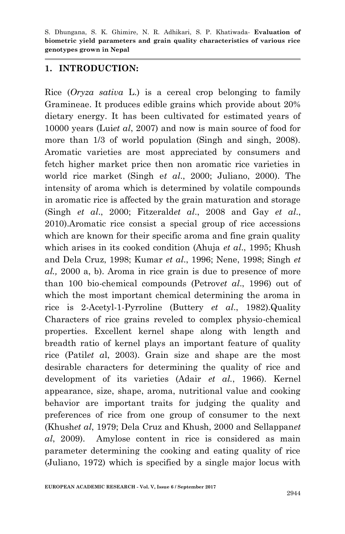#### **1. INTRODUCTION:**

Rice (*Oryza sativa* L.) is a cereal crop belonging to family Gramineae. It produces edible grains which provide about 20% dietary energy. It has been cultivated for estimated years of 10000 years (Lui*et al*, 2007) and now is main source of food for more than 1/3 of world population (Singh and singh, 2008). Aromatic varieties are most appreciated by consumers and fetch higher market price then non aromatic rice varieties in world rice market (Singh e*t al*., 2000; Juliano, 2000). The intensity of aroma which is determined by volatile compounds in aromatic rice is affected by the grain maturation and storage (Singh *et al*., 2000; Fitzerald*et al*., 2008 and Gay *et al*., 2010).Aromatic rice consist a special group of rice accessions which are known for their specific aroma and fine grain quality which arises in its cooked condition (Ahuja *et al*., 1995; Khush and Dela Cruz, 1998; Kumar *et al*., 1996; Nene, 1998; Singh *et al.,* 2000 a, b). Aroma in rice grain is due to presence of more than 100 bio-chemical compounds (Petrov*et al*., 1996) out of which the most important chemical determining the aroma in rice is 2-Acetyl-1-Pyrroline (Buttery *et al*., 1982).Quality Characters of rice grains reveled to complex physio-chemical properties. Excellent kernel shape along with length and breadth ratio of kernel plays an important feature of quality rice (Patil*et a*l, 2003). Grain size and shape are the most desirable characters for determining the quality of rice and development of its varieties (Adair *et al.*, 1966). Kernel appearance, size, shape, aroma, nutritional value and cooking behavior are important traits for judging the quality and preferences of rice from one group of consumer to the next (Khush*et al*, 1979; Dela Cruz and Khush, 2000 and Sellappan*et al*, 2009). Amylose content in rice is considered as main parameter determining the cooking and eating quality of rice (Juliano, 1972) which is specified by a single major locus with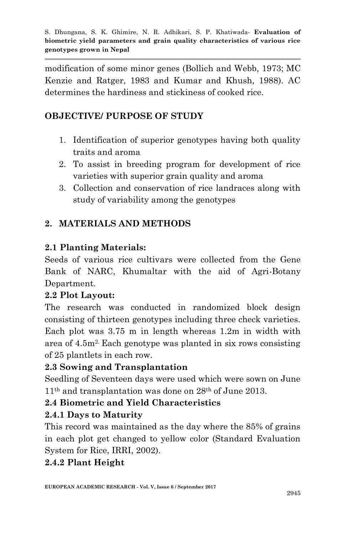modification of some minor genes (Bollich and Webb, 1973; MC Kenzie and Ratger, 1983 and Kumar and Khush, 1988). AC determines the hardiness and stickiness of cooked rice.

# **OBJECTIVE/ PURPOSE OF STUDY**

- 1. Identification of superior genotypes having both quality traits and aroma
- 2. To assist in breeding program for development of rice varieties with superior grain quality and aroma
- 3. Collection and conservation of rice landraces along with study of variability among the genotypes

# **2. MATERIALS AND METHODS**

# **2.1 Planting Materials:**

Seeds of various rice cultivars were collected from the Gene Bank of NARC, Khumaltar with the aid of Agri-Botany Department.

# **2.2 Plot Layout:**

The research was conducted in randomized block design consisting of thirteen genotypes including three check varieties. Each plot was 3.75 m in length whereas 1.2m in width with area of 4.5m2. Each genotype was planted in six rows consisting of 25 plantlets in each row.

# **2.3 Sowing and Transplantation**

Seedling of Seventeen days were used which were sown on June 11th and transplantation was done on 28th of June 2013.

# **2.4 Biometric and Yield Characteristics**

# **2.4.1 Days to Maturity**

This record was maintained as the day where the 85% of grains in each plot get changed to yellow color (Standard Evaluation System for Rice, IRRI, 2002).

# **2.4.2 Plant Height**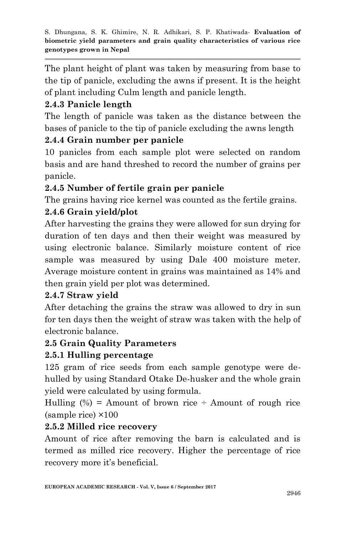The plant height of plant was taken by measuring from base to the tip of panicle, excluding the awns if present. It is the height of plant including Culm length and panicle length.

# **2.4.3 Panicle length**

The length of panicle was taken as the distance between the bases of panicle to the tip of panicle excluding the awns length

## **2.4.4 Grain number per panicle**

10 panicles from each sample plot were selected on random basis and are hand threshed to record the number of grains per panicle.

# **2.4.5 Number of fertile grain per panicle**

The grains having rice kernel was counted as the fertile grains.

# **2.4.6 Grain yield/plot**

After harvesting the grains they were allowed for sun drying for duration of ten days and then their weight was measured by using electronic balance. Similarly moisture content of rice sample was measured by using Dale 400 moisture meter. Average moisture content in grains was maintained as 14% and then grain yield per plot was determined.

## **2.4.7 Straw yield**

After detaching the grains the straw was allowed to dry in sun for ten days then the weight of straw was taken with the help of electronic balance.

## **2.5 Grain Quality Parameters**

# **2.5.1 Hulling percentage**

125 gram of rice seeds from each sample genotype were dehulled by using Standard Otake De-husker and the whole grain yield were calculated by using formula.

Hulling  $(\%)$  = Amount of brown rice ÷ Amount of rough rice (sample rice) ×100

## **2.5.2 Milled rice recovery**

Amount of rice after removing the barn is calculated and is termed as milled rice recovery. Higher the percentage of rice recovery more it's beneficial.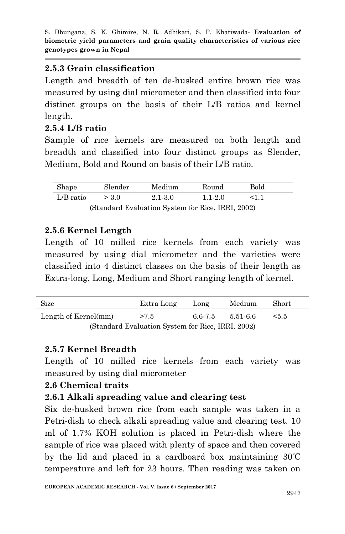#### **2.5.3 Grain classification**

Length and breadth of ten de-husked entire brown rice was measured by using dial micrometer and then classified into four distinct groups on the basis of their L/B ratios and kernel length.

### **2.5.4 L/B ratio**

Sample of rice kernels are measured on both length and breadth and classified into four distinct groups as Slender, Medium, Bold and Round on basis of their L/B ratio.

| Shape       | Slender                                          | Medium  | Round                    | Bold      |
|-------------|--------------------------------------------------|---------|--------------------------|-----------|
| $L/B$ ratio | > 3.0                                            | 2.1-3.0 | $1.1 - 2.0$              |           |
|             | $\sim$<br>$\mathbf{1}$ $\mathbf{1}$ $\mathbf{1}$ |         | $\overline{\phantom{a}}$ | TDDI 0000 |

(Standard Evaluation System for Rice, IRRI, 2002)

### **2.5.6 Kernel Length**

Length of 10 milled rice kernels from each variety was measured by using dial micrometer and the varieties were classified into 4 distinct classes on the basis of their length as Extra-long, Long, Medium and Short ranging length of kernel.

| Size                                            | Extra Long | Long    | Medium   | Short |  |  |
|-------------------------------------------------|------------|---------|----------|-------|--|--|
| Length of Kernel(mm)                            | >7.5       | 6.6-7.5 | 5.51-6.6 | < 5.5 |  |  |
| (Standard Evaluation System for Rice IRRI 2002) |            |         |          |       |  |  |

(Standard Evaluation System for Rice, IRRI, 2002)

## **2.5.7 Kernel Breadth**

Length of 10 milled rice kernels from each variety was measured by using dial micrometer

#### **2.6 Chemical traits**

## **2.6.1 Alkali spreading value and clearing test**

Six de-husked brown rice from each sample was taken in a Petri-dish to check alkali spreading value and clearing test. 10 ml of 1.7% KOH solution is placed in Petri-dish where the sample of rice was placed with plenty of space and then covered by the lid and placed in a cardboard box maintaining 30ºC temperature and left for 23 hours. Then reading was taken on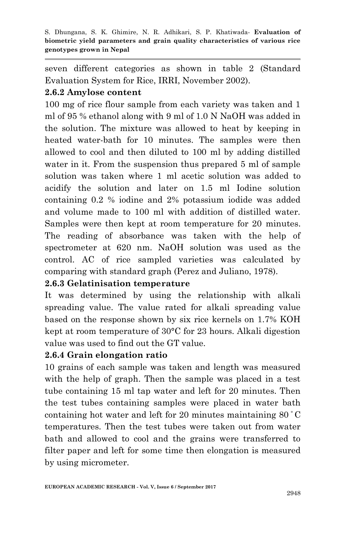seven different categories as shown in table 2 (Standard Evaluation System for Rice, IRRI, November 2002).

#### **2.6.2 Amylose content**

100 mg of rice flour sample from each variety was taken and 1 ml of 95 % ethanol along with 9 ml of 1.0 N NaOH was added in the solution. The mixture was allowed to heat by keeping in heated water-bath for 10 minutes. The samples were then allowed to cool and then diluted to 100 ml by adding distilled water in it. From the suspension thus prepared 5 ml of sample solution was taken where 1 ml acetic solution was added to acidify the solution and later on 1.5 ml Iodine solution containing 0.2 % iodine and 2% potassium iodide was added and volume made to 100 ml with addition of distilled water. Samples were then kept at room temperature for 20 minutes. The reading of absorbance was taken with the help of spectrometer at 620 nm. NaOH solution was used as the control. AC of rice sampled varieties was calculated by comparing with standard graph (Perez and Juliano, 1978).

#### **2.6.3 Gelatinisation temperature**

It was determined by using the relationship with alkali spreading value. The value rated for alkali spreading value based on the response shown by six rice kernels on 1.7% KOH kept at room temperature of 30°C for 23 hours. Alkali digestion value was used to find out the GT value.

#### **2.6.4 Grain elongation ratio**

10 grains of each sample was taken and length was measured with the help of graph. Then the sample was placed in a test tube containing 15 ml tap water and left for 20 minutes. Then the test tubes containing samples were placed in water bath containing hot water and left for 20 minutes maintaining 80 <sup>º</sup>C temperatures. Then the test tubes were taken out from water bath and allowed to cool and the grains were transferred to filter paper and left for some time then elongation is measured by using micrometer.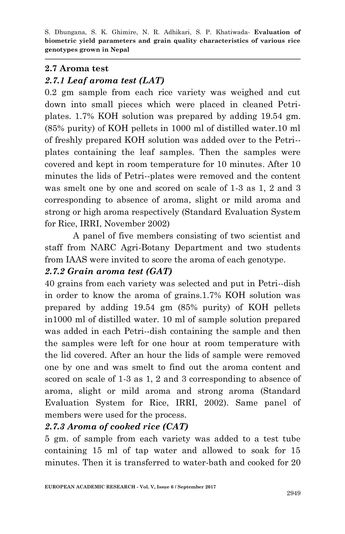#### **2.7 Aroma test**

### *2.7.1 Leaf aroma test (LAT)*

0.2 gm sample from each rice variety was weighed and cut down into small pieces which were placed in cleaned Petriplates. 1.7% KOH solution was prepared by adding 19.54 gm. (85% purity) of KOH pellets in 1000 ml of distilled water.10 ml of freshly prepared KOH solution was added over to the Petri- plates containing the leaf samples. Then the samples were covered and kept in room temperature for 10 minutes. After 10 minutes the lids of Petri--plates were removed and the content was smelt one by one and scored on scale of 1-3 as 1, 2 and 3 corresponding to absence of aroma, slight or mild aroma and strong or high aroma respectively (Standard Evaluation System for Rice, IRRI, November 2002)

A panel of five members consisting of two scientist and staff from NARC Agri-Botany Department and two students from IAAS were invited to score the aroma of each genotype.

### *2.7.2 Grain aroma test (GAT)*

40 grains from each variety was selected and put in Petri--dish in order to know the aroma of grains.1.7% KOH solution was prepared by adding 19.54 gm (85% purity) of KOH pellets in1000 ml of distilled water. 10 ml of sample solution prepared was added in each Petri--dish containing the sample and then the samples were left for one hour at room temperature with the lid covered. After an hour the lids of sample were removed one by one and was smelt to find out the aroma content and scored on scale of 1-3 as 1, 2 and 3 corresponding to absence of aroma, slight or mild aroma and strong aroma (Standard Evaluation System for Rice, IRRI, 2002). Same panel of members were used for the process.

## *2.7.3 Aroma of cooked rice (CAT)*

5 gm. of sample from each variety was added to a test tube containing 15 ml of tap water and allowed to soak for 15 minutes. Then it is transferred to water-bath and cooked for 20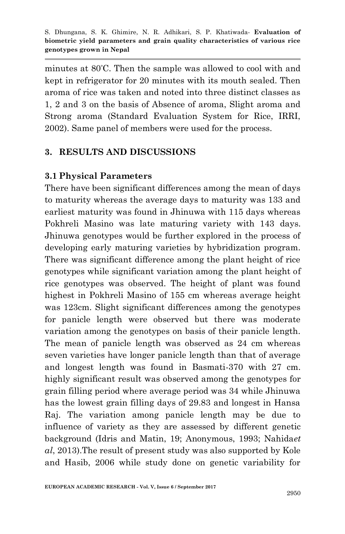minutes at 80ºC. Then the sample was allowed to cool with and kept in refrigerator for 20 minutes with its mouth sealed. Then aroma of rice was taken and noted into three distinct classes as 1, 2 and 3 on the basis of Absence of aroma, Slight aroma and Strong aroma (Standard Evaluation System for Rice, IRRI, 2002). Same panel of members were used for the process.

### **3. RESULTS AND DISCUSSIONS**

#### **3.1 Physical Parameters**

There have been significant differences among the mean of days to maturity whereas the average days to maturity was 133 and earliest maturity was found in Jhinuwa with 115 days whereas Pokhreli Masino was late maturing variety with 143 days. Jhinuwa genotypes would be further explored in the process of developing early maturing varieties by hybridization program. There was significant difference among the plant height of rice genotypes while significant variation among the plant height of rice genotypes was observed. The height of plant was found highest in Pokhreli Masino of 155 cm whereas average height was 123cm. Slight significant differences among the genotypes for panicle length were observed but there was moderate variation among the genotypes on basis of their panicle length. The mean of panicle length was observed as 24 cm whereas seven varieties have longer panicle length than that of average and longest length was found in Basmati-370 with 27 cm. highly significant result was observed among the genotypes for grain filling period where average period was 34 while Jhinuwa has the lowest grain filling days of 29.83 and longest in Hansa Raj. The variation among panicle length may be due to influence of variety as they are assessed by different genetic background (Idris and Matin, 19; Anonymous, 1993; Nahida*et al*, 2013).The result of present study was also supported by Kole and Hasib, 2006 while study done on genetic variability for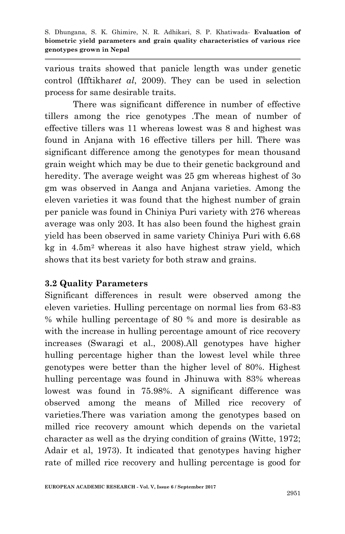various traits showed that panicle length was under genetic control (Ifftikhar*et al*, 2009). They can be used in selection process for same desirable traits.

There was significant difference in number of effective tillers among the rice genotypes .The mean of number of effective tillers was 11 whereas lowest was 8 and highest was found in Anjana with 16 effective tillers per hill. There was significant difference among the genotypes for mean thousand grain weight which may be due to their genetic background and heredity. The average weight was 25 gm whereas highest of 3o gm was observed in Aanga and Anjana varieties. Among the eleven varieties it was found that the highest number of grain per panicle was found in Chiniya Puri variety with 276 whereas average was only 203. It has also been found the highest grain yield has been observed in same variety Chiniya Puri with 6.68 kg in 4.5m2 whereas it also have highest straw yield, which shows that its best variety for both straw and grains.

#### **3.2 Quality Parameters**

Significant differences in result were observed among the eleven varieties. Hulling percentage on normal lies from 63-83 % while hulling percentage of 80 % and more is desirable as with the increase in hulling percentage amount of rice recovery increases (Swaragi et al., 2008).All genotypes have higher hulling percentage higher than the lowest level while three genotypes were better than the higher level of 80%. Highest hulling percentage was found in Jhinuwa with 83% whereas lowest was found in 75.98%. A significant difference was observed among the means of Milled rice recovery of varieties.There was variation among the genotypes based on milled rice recovery amount which depends on the varietal character as well as the drying condition of grains (Witte, 1972; Adair et al, 1973). It indicated that genotypes having higher rate of milled rice recovery and hulling percentage is good for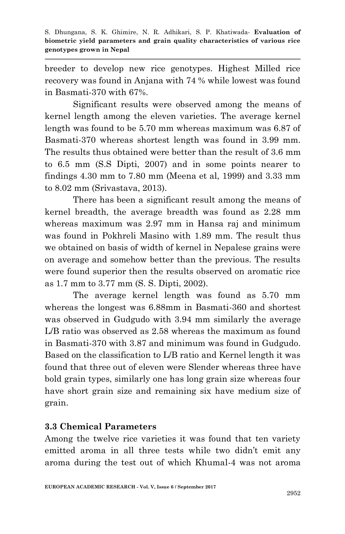breeder to develop new rice genotypes. Highest Milled rice recovery was found in Anjana with 74 % while lowest was found in Basmati-370 with 67%.

Significant results were observed among the means of kernel length among the eleven varieties. The average kernel length was found to be 5.70 mm whereas maximum was 6.87 of Basmati-370 whereas shortest length was found in 3.99 mm. The results thus obtained were better than the result of 3.6 mm to 6.5 mm (S.S Dipti, 2007) and in some points nearer to findings 4.30 mm to 7.80 mm (Meena et al, 1999) and 3.33 mm to 8.02 mm (Srivastava, 2013).

There has been a significant result among the means of kernel breadth, the average breadth was found as 2.28 mm whereas maximum was 2.97 mm in Hansa raj and minimum was found in Pokhreli Masino with 1.89 mm. The result thus we obtained on basis of width of kernel in Nepalese grains were on average and somehow better than the previous. The results were found superior then the results observed on aromatic rice as 1.7 mm to 3.77 mm (S. S. Dipti, 2002).

The average kernel length was found as 5.70 mm whereas the longest was 6.88mm in Basmati-360 and shortest was observed in Gudgudo with 3.94 mm similarly the average L/B ratio was observed as 2.58 whereas the maximum as found in Basmati-370 with 3.87 and minimum was found in Gudgudo. Based on the classification to L/B ratio and Kernel length it was found that three out of eleven were Slender whereas three have bold grain types, similarly one has long grain size whereas four have short grain size and remaining six have medium size of grain.

## **3.3 Chemical Parameters**

Among the twelve rice varieties it was found that ten variety emitted aroma in all three tests while two didn't emit any aroma during the test out of which Khumal-4 was not aroma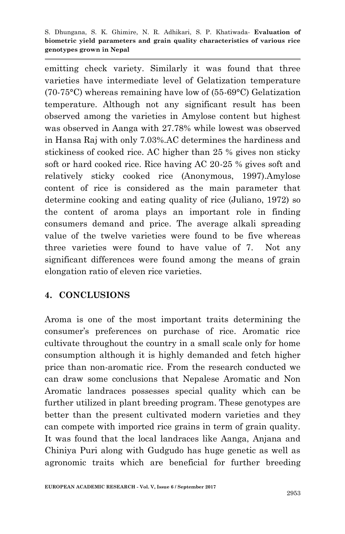emitting check variety. Similarly it was found that three varieties have intermediate level of Gelatization temperature (70-75°C) whereas remaining have low of (55-69°C) Gelatization temperature. Although not any significant result has been observed among the varieties in Amylose content but highest was observed in Aanga with 27.78% while lowest was observed in Hansa Raj with only 7.03%.AC determines the hardiness and stickiness of cooked rice. AC higher than 25 % gives non sticky soft or hard cooked rice. Rice having AC 20-25 % gives soft and relatively sticky cooked rice (Anonymous, 1997).Amylose content of rice is considered as the main parameter that determine cooking and eating quality of rice (Juliano, 1972) so the content of aroma plays an important role in finding consumers demand and price. The average alkali spreading value of the twelve varieties were found to be five whereas three varieties were found to have value of 7. Not any significant differences were found among the means of grain elongation ratio of eleven rice varieties.

## **4. CONCLUSIONS**

Aroma is one of the most important traits determining the consumer's preferences on purchase of rice. Aromatic rice cultivate throughout the country in a small scale only for home consumption although it is highly demanded and fetch higher price than non-aromatic rice. From the research conducted we can draw some conclusions that Nepalese Aromatic and Non Aromatic landraces possesses special quality which can be further utilized in plant breeding program. These genotypes are better than the present cultivated modern varieties and they can compete with imported rice grains in term of grain quality. It was found that the local landraces like Aanga, Anjana and Chiniya Puri along with Gudgudo has huge genetic as well as agronomic traits which are beneficial for further breeding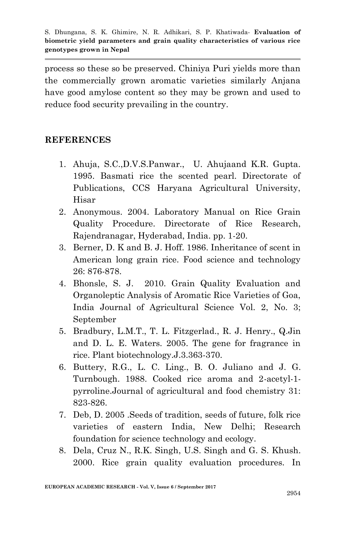process so these so be preserved. Chiniya Puri yields more than the commercially grown aromatic varieties similarly Anjana have good amylose content so they may be grown and used to reduce food security prevailing in the country.

### **REFERENCES**

- 1. Ahuja, S.C.,D.V.S.Panwar., U. Ahujaand K.R. Gupta. 1995. Basmati rice the scented pearl. Directorate of Publications, CCS Haryana Agricultural University, Hisar
- 2. Anonymous. 2004. Laboratory Manual on Rice Grain Quality Procedure. Directorate of Rice Research, Rajendranagar, Hyderabad, India. pp. 1-20.
- 3. Berner, D. K and B. J. Hoff. 1986. Inheritance of scent in American long grain rice. Food science and technology 26: 876-878.
- 4. Bhonsle, S. J. 2010. Grain Quality Evaluation and Organoleptic Analysis of Aromatic Rice Varieties of Goa, India Journal of Agricultural Science Vol. 2, No. 3; September
- 5. Bradbury, L.M.T., T. L. Fitzgerlad., R. J. Henry., Q.Jin and D. L. E. Waters. 2005. The gene for fragrance in rice. Plant biotechnology.J.3.363-370.
- 6. Buttery, R.G., L. C. Ling., B. O. Juliano and J. G. Turnbough. 1988. Cooked rice aroma and 2-acetyl-1 pyrroline.Journal of agricultural and food chemistry 31: 823-826.
- 7. Deb, D. 2005 .Seeds of tradition, seeds of future, folk rice varieties of eastern India, New Delhi; Research foundation for science technology and ecology.
- 8. Dela, Cruz N., R.K. Singh, U.S. Singh and G. S. Khush. 2000. Rice grain quality evaluation procedures. In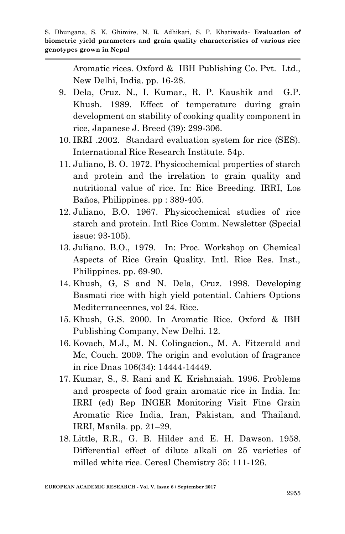Aromatic rices. Oxford & IBH Publishing Co. Pvt. Ltd., New Delhi, India. pp. 16-28.

- 9. Dela, Cruz. N., I. Kumar., R. P. Kaushik and G.P. Khush. 1989. Effect of temperature during grain development on stability of cooking quality component in rice, Japanese J. Breed (39): 299-306.
- 10. IRRI .2002. Standard evaluation system for rice (SES). International Rice Research Institute. 54p.
- 11. Juliano, B. O. 1972. Physicochemical properties of starch and protein and the irrelation to grain quality and nutritional value of rice. In: Rice Breeding. IRRI, Los Baños, Philippines. pp : 389-405.
- 12. Juliano, B.O. 1967. Physicochemical studies of rice starch and protein. Intl Rice Comm. Newsletter (Special issue: 93-105).
- 13. Juliano. B.O., 1979. In: Proc. Workshop on Chemical Aspects of Rice Grain Quality. Intl. Rice Res. Inst., Philippines. pp. 69-90.
- 14. Khush, G, S and N. Dela, Cruz. 1998. Developing Basmati rice with high yield potential. Cahiers Options Mediterraneennes, vol 24. Rice.
- 15. Khush, G.S. 2000. In Aromatic Rice. Oxford & IBH Publishing Company, New Delhi. 12.
- 16. Kovach, M.J., M. N. Colingacion., M. A. Fitzerald and Mc, Couch. 2009. The origin and evolution of fragrance in rice Dnas 106(34): 14444-14449.
- 17. Kumar, S., S. Rani and K. Krishnaiah. 1996. Problems and prospects of food grain aromatic rice in India. In: IRRI (ed) Rep INGER Monitoring Visit Fine Grain Aromatic Rice India, Iran, Pakistan, and Thailand. IRRI, Manila. pp. 21–29.
- 18. Little, R.R., G. B. Hilder and E. H. Dawson. 1958. Differential effect of dilute alkali on 25 varieties of milled white rice. Cereal Chemistry 35: 111-126.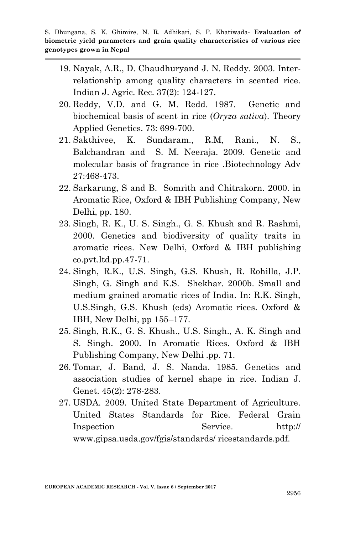- 19. Nayak, A.R., D. Chaudhuryand J. N. Reddy. 2003. Interrelationship among quality characters in scented rice. Indian J. Agric. Rec. 37(2): 124-127.
- 20. Reddy, V.D. and G. M. Redd. 1987. Genetic and biochemical basis of scent in rice (*Oryza sativa*). Theory Applied Genetics. 73: 699-700.
- 21. Sakthivee, K. Sundaram., R.M, Rani., N. S., Balchandran and S. M. Neeraja. 2009. Genetic and molecular basis of fragrance in rice .Biotechnology Adv 27:468-473.
- 22. Sarkarung, S and B. Somrith and Chitrakorn. 2000. in Aromatic Rice, Oxford & IBH Publishing Company, New Delhi, pp. 180.
- 23. Singh, R. K., U. S. Singh., G. S. Khush and R. Rashmi, 2000. Genetics and biodiversity of quality traits in aromatic rices. New Delhi, Oxford & IBH publishing co.pvt.ltd.pp.47-71.
- 24. Singh, R.K., U.S. Singh, G.S. Khush, R. Rohilla, J.P. Singh, G. Singh and K.S. Shekhar. 2000b. Small and medium grained aromatic rices of India. In: R.K. Singh, U.S.Singh, G.S. Khush (eds) Aromatic rices. Oxford & IBH, New Delhi, pp 155–177.
- 25. Singh, R.K., G. S. Khush., U.S. Singh., A. K. Singh and S. Singh. 2000. In Aromatic Rices. Oxford & IBH Publishing Company, New Delhi .pp. 71.
- 26. Tomar, J. Band, J. S. Nanda. 1985. Genetics and association studies of kernel shape in rice. Indian J. Genet. 45(2): 278-283.
- 27. USDA. 2009. United State Department of Agriculture. United States Standards for Rice. Federal Grain Inspection Service. http:// www.gipsa.usda.gov/fgis/standards/ ricestandards.pdf.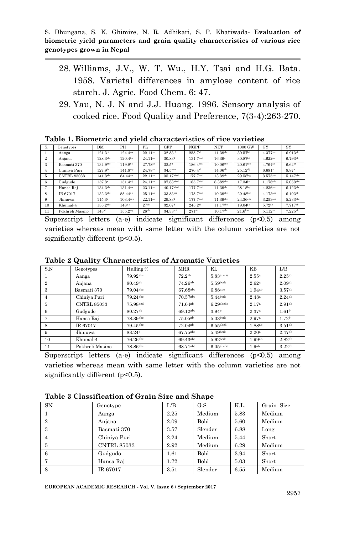- 28. Williams, J.V., W. T. Wu., H.Y. Tsai and H.G. Bata. 1958. Varietal differences in amylose content of rice starch. J. Agric. Food Chem. 6: 47.
- 29. Yau, N. J. N and J.J. Huang. 1996. Sensory analysis of cooked rice. Food Quality and Preference, 7(3-4):263-270.

| S.             | Genotypes          | DM                     | PH                   | PL                  | GFP                  | <b>NGPP</b>           | <b>NET</b>            | 1000 GW                | <b>GY</b>              | SY                     |
|----------------|--------------------|------------------------|----------------------|---------------------|----------------------|-----------------------|-----------------------|------------------------|------------------------|------------------------|
|                | Aanga              | 121.3 <sup>cd</sup>    | $124.4^{a.s}$        | $22.11^{ab}$        | 32.83 <sup>cd</sup>  | $255.7^{ab}$          | $11.39$ abc           | $30.57b-f$             | $4.377$ abc            | $6.913^{ab}$           |
| $\overline{2}$ | Anjana             | $128.3$ abc            | $120.4^{b.s.}$       | $24.11^{ab}$        | $30.83^{d}$          | 134.7 <sub>cdef</sub> | 16.39a                | $30.87b-f$             | $4.622^{ab}$           | 6.793 <sup>ab</sup>    |
| 3              | Basmati 370        | 134.9 <sup>abc</sup>   | $119.8^{b.s.}$       | 27.78 <sup>ab</sup> | $32.5^{\rm d}$       | 186.4 <sup>bcd</sup>  | $10.06$ abc           | $20.61$ <sup>h-o</sup> | $4.764^{ab}$           | $6.62$ <sup>ab</sup>   |
| 4              | Chiniya Puri       | 127.9 <sup>bc</sup>    | $141.8^{a.p}$        | 24.78 <sup>ab</sup> | 34.5 <sup>abcd</sup> | $276.4^{ab}$          | $14.06^{ab}$          | $25.12^{d-j}$          | $6.681$ <sup>a</sup>   | 8.87 <sup>a</sup>      |
| 5              | <b>CNTRL 85033</b> | 141.3 <sup>abc</sup>   | 84.44 <sup>o-s</sup> | $22.11^{ab}$        | $35.17$ abed         | 177.7 <sup>bcd</sup>  | $13.39$ <sup>ab</sup> | $29.58^{b-g}$          | $3.575$ <sup>abc</sup> | $5.147$ <sub>abc</sub> |
| 6              | Gudgudo            | $157.3^{\circ}$        | $151.4^{a-j}$        | $24.11^{ab}$        | 37.83abcd            | 165.7cdef             | 8.389abc              | $17.34^{j\circ}$       | $1.176c$ cde           | $5.053$ abc            |
|                | Hansa Raj          | $134.3$ <sup>abc</sup> | $131.4^{a.s.}$       | $23.11^{ab}$        | $40.17$ abed         | 177.7 <sup>bcd</sup>  | $11.39$ abc           | $28.15^{b-g}$          | $4.236$ abc            | $6.123$ <sup>abc</sup> |
| 8              | IR 67017           | $132.3$ <sup>abc</sup> | 85.44 <sup>o-s</sup> | $25.11^{ab}$        | 33.83bcd             | 175.7cdef             | $10.39$ abc           | $29.48b-g$             | $4.173$ abc            | 6.193a <sub>b</sub>    |
| 9              | Jhinuwa            | 115.3 <sup>d</sup>     | $103.4$ ce-s         | $22.11^{ab}$        | $29.83^{d}$          | $177.7$ cdef          | $11.39$ abc           | $24.36e{k}$            | $3.253$ abc            | 5.233abc               |
| 10             | Khumal-4           | 135.2 <sup>abc</sup>   | $143^{a-p}$          | 27 <sub>ab</sub>    | $32.67$ <sup>d</sup> | $245.2^{ab}$          | $11.17$ abc           | $19.04^{j\circ}$       | 5.72ab                 | 7.717 <sup>ab</sup>    |
| 11             | Pokhreli Masino    | $143^{ab}$             | $155.2^{a.g.}$       | $26^{ab}$           | 34.33 <sup>bcd</sup> | 271 <sup>ab</sup>     | $10.17$ abc           | $21.6^{h-n}$           | $5.112^{ab}$           | $7.225^{ab}$           |

**Table 1. Biometric and yield characteristics of rice varieties**

Superscript letters (a-e) indicate significant differences  $(p<0.5)$  among varieties whereas mean with same letter with the column varieties are not significantly different ( $p<0.5$ ).

| S.N            | Genotypes          | Hulling %           | <b>MRR</b>          | KL           | KΒ                 | L/B                |
|----------------|--------------------|---------------------|---------------------|--------------|--------------------|--------------------|
|                | Aanga              | 79.92abc            | 72.2ab              | $5.83$ abcde | 2.55a              | 2.25ab             |
| $\overline{2}$ | Anjana             | 80.49 <sup>ab</sup> | $74.26^{ab}$        | $5.59$ bcde  | 2.62 <sup>a</sup>  | 2.09 <sub>ab</sub> |
| 3              | Basmati 370        | $79.04$ abc         | 67.68abc            | 6.88abc      | 1.94ab             | 3.57ab             |
| $\overline{4}$ | Chiniya Puri       | $79.24$ abc         | $70.57$ abc         | $5.44$ bcde  | 2.48 <sup>a</sup>  | 2.24ab             |
| 5              | <b>CNTRL 85033</b> | 75.98bcd            | 71.64a <sub>b</sub> | 6.29abcde    | 2.17 <sup>a</sup>  | 2.91 <sup>ab</sup> |
| 6              | Gudgudo            | 80.27ab             | 69.12abc            | 3.94e        | 2.37a              | 1.61 <sup>b</sup>  |
| 7              | Hansa Raj          | 78.39abc            | $75.05^{ab}$        | $5.03$ bcde  | 2.97a              | 1.72 <sup>b</sup>  |
| 8              | IR 67017           | 79.45abc            | $72.04^{ab}$        | 6.55 abcd    | 1.88 <sup>ab</sup> | 3.51ab             |
| 9              | Jhinuwa            | 83.24 <sup>a</sup>  | 67.75abc            | $5.49$ bcde  | 2.20 <sup>a</sup>  | 2.47 <sup>ab</sup> |
| 10             | Khumal-4           | 76.26abc            | 69.43abc            | $5.62$ bcde  | 1.99ab             | 2.82ab             |
| 11             | Pokhreli Masino    | 78.86abc            | 68.71abc            | $6.05$ abcde | 1.9 <sub>ab</sub>  | 3.22ab             |

**Table 2 Quality Characteristics of Aromatic Varieties**

Superscript letters (a-e) indicate significant differences (p<0.5) among varieties whereas mean with same letter with the column varieties are not significantly different ( $p<0.5$ ).

**Table 3 Classification of Grain Size and Shape** 

| <b>SN</b>      | Genotype           | L/B  | G.S     | K.L. | Grain Size |
|----------------|--------------------|------|---------|------|------------|
|                | Aanga              | 2.25 | Medium  | 5.83 | Medium     |
| $\overline{2}$ | Anjana             | 2.09 | Bold    | 5.60 | Medium     |
| 3              | Basmati 370        | 3.57 | Slender | 6.88 | Long       |
| 4              | Chiniya Puri       | 2.24 | Medium  | 5.44 | Short      |
| 5              | <b>CNTRL 85033</b> | 2.92 | Medium  | 6.29 | Medium     |
| 6              | Gudgudo            | 1.61 | Bold    | 3.94 | Short      |
|                | Hansa Raj          | 1.72 | Bold    | 5.03 | Short      |
| 8              | IR 67017           | 3.51 | Slender | 6.55 | Medium     |

**EUROPEAN ACADEMIC RESEARCH - Vol. V, Issue 6 / September 2017**